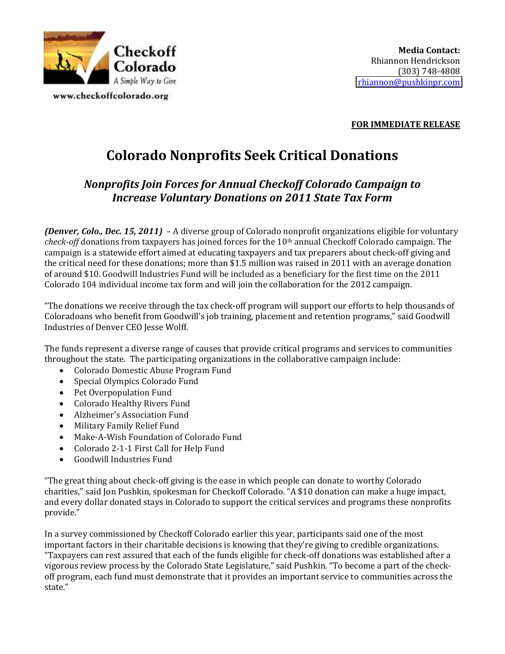

www.checkoffcolorado.org

## **FOR IMMEDIATE RELEASE**

## **Colorado Nonprofits Seek Critical Donations**

## **Nonprofits Join Forces for Annual Checkoff Colorado Campaign to Increase Voluntary Donations on 2011 State Tax Form**

*(Denver, Colo., Dec. 15, 2011)* - A diverse group of Colorado nonprofit organizations eligible for voluntary *check-off* donations from taxpayers has joined forces for the 10<sup>th</sup> annual Checkoff Colorado campaign. The campaign is a statewide effort aimed at educating taxpayers and tax preparers about check-off giving and the critical need for these donations; more than \$1.5 million was raised in 2011 with an average donation of around \$10. Goodwill Industries Fund will be included as a beneficiary for the first time on the 2011 Colorado 104 individual income tax form and will join the collaboration for the 2012 campaign.

"The donations we receive through the tax check-off program will support our efforts to help thousands of Coloradoans who benefit from Goodwill's job training, placement and retention programs," said Goodwill Industries of Denver CEO Jesse Wolff.

The funds represent a diverse range of causes that provide critical programs and services to communities throughout the state. The participating organizations in the collaborative campaign include:

- Colorado Domestic Abuse Program Fund
- Special Olympics Colorado Fund
- Pet Overpopulation Fund
- Colorado Healthy Rivers Fund
- Alzheimer's Association Fund
- Military Family Relief Fund
- Make-A-Wish Foundation of Colorado Fund
- Colorado 2-1-1 First Call for Help Fund
- Goodwill Industries Fund

"The great thing about check-off giving is the ease in which people can donate to worthy Colorado' charities," said Jon Pushkin, spokesman for Checkoff Colorado. "A \$10 donation can make a huge impact, and every dollar donated stays in Colorado to support the critical services and programs these nonprofits' provide."

In a survey commissioned by Checkoff Colorado earlier this year, participants said one of the most important factors in their charitable decisions is knowing that they're giving to credible organizations. "Taxpayers can rest assured that each of the funds eligible for check-off donations was established after a vigorous review process by the Colorado State Legislature," said Pushkin. "To become a part of the checkoff program, each fund must demonstrate that it provides an important service to communities across the state."